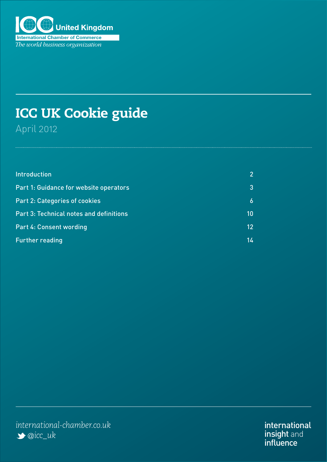

# ICC UK Cookie guide April 2012

| <b>Introduction</b>                            |             |
|------------------------------------------------|-------------|
| Part 1: Guidance for website operators         |             |
| <b>Part 2: Categories of cookies</b>           | $\mathbf 6$ |
| <b>Part 3: Technical notes and definitions</b> | 10          |
| <b>Part 4: Consent wording</b>                 | 12          |
| <b>Further reading</b>                         | 14          |

international insight and influence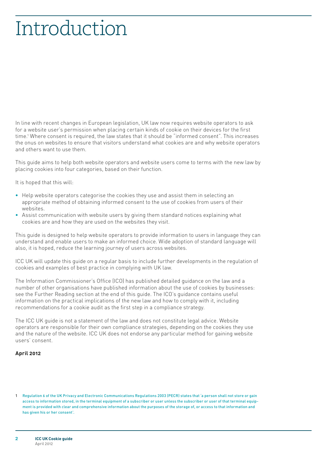# <span id="page-1-0"></span>Introduction

In line with recent changes in European legislation, UK law now requires website operators to ask for a website user's permission when placing certain kinds of cookie on their devices for the first time.1 Where consent is required, the law states that it should be "informed consent". This increases the onus on websites to ensure that visitors understand what cookies are and why website operators and others want to use them.

This guide aims to help both website operators and website users come to terms with the new law by placing cookies into four categories, based on their function.

It is hoped that this will:

- **•**  Help website operators categorise the cookies they use and assist them in selecting an appropriate method of obtaining informed consent to the use of cookies from users of their websites.
- Assist communication with website users by giving them standard notices explaining what cookies are and how they are used on the websites they visit.

This guide is designed to help website operators to provide information to users in language they can understand and enable users to make an informed choice. Wide adoption of standard language will also, it is hoped, reduce the learning journey of users across websites.

ICC UK will update this guide on a regular basis to include further developments in the regulation of cookies and examples of best practice in complying with UK law.

The Information Commissioner's Office (ICO) has published detailed guidance on the law and a number of other organisations have published information about the use of cookies by businesses: see the Further Reading section at the end of this guide. The ICO's guidance contains useful information on the practical implications of the new law and how to comply with it, including recommendations for a cookie audit as the first step in a compliance strategy.

The ICC UK guide is not a statement of the law and does not constitute legal advice. Website operators are responsible for their own compliance strategies, depending on the cookies they use and the nature of the website. ICC UK does not endorse any particular method for gaining website users' consent.

#### **April 2012**

<sup>1</sup> Regulation 6 of the UK Privacy and Electronic Communications Regulations 2003 (PECR) states that 'a person shall not store or gain access to information stored, in the terminal equipment of a subscriber or user unless the subscriber or user of that terminal equipment is provided with clear and comprehensive information about the purposes of the storage of, or access to that information and has given his or her consent'.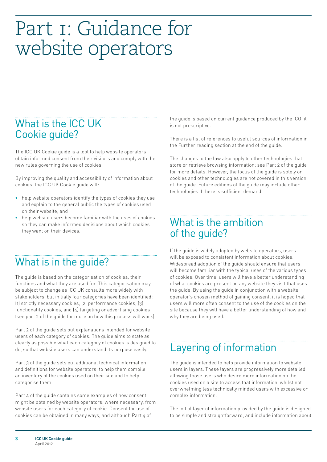# <span id="page-2-0"></span>Part I: Guidance for website operators

# What is the ICC UK Cookie guide?

The ICC UK Cookie guide is a tool to help website operators obtain informed consent from their visitors and comply with the new rules governing the use of cookies.

By improving the quality and accessibility of information about cookies, the ICC UK Cookie guide will:

- **•**  help website operators identify the types of cookies they use and explain to the general public the types of cookies used on their website; and
- help website users become familiar with the uses of cookies so they can make informed decisions about which cookies they want on their devices.

# What is in the guide?

The guide is based on the categorisation of cookies, their functions and what they are used for. This categorisation may be subject to change as ICC UK consults more widely with stakeholders, but initially four categories have been identified: (1) strictly necessary cookies, (2) performance cookies, (3) functionality cookies, and (4) targeting or advertising cookies (see part 2 of the guide for more on how this process will work).

Part 2 of the guide sets out explanations intended for website users of each category of cookies. The guide aims to state as clearly as possible what each category of cookies is designed to do, so that website users can understand its purpose easily.

Part 3 of the guide sets out additional technical information and definitions for website operators, to help them compile an inventory of the cookies used on their site and to help categorise them.

Part 4 of the quide contains some examples of how consent might be obtained by website operators, where necessary, from website users for each category of cookie. Consent for use of cookies can be obtained in many ways, and although Part 4 of

the guide is based on current guidance produced by the ICO, it is not prescriptive.

There is a list of references to useful sources of information in the Further reading section at the end of the guide.

The changes to the law also apply to other technologies that store or retrieve browsing information: see Part 2 of the guide for more details. However, the focus of the guide is solely on cookies and other technologies are not covered in this version of the guide. Future editions of the guide may include other technologies if there is sufficient demand.

# What is the ambition of the guide?

If the guide is widely adopted by website operators, users will be exposed to consistent information about cookies. Widespread adoption of the guide should ensure that users will become familiar with the typical uses of the various types of cookies. Over time, users will have a better understanding of what cookies are present on any website they visit that uses the guide. By using the guide in conjunction with a website operator's chosen method of gaining consent, it is hoped that users will more often consent to the use of the cookies on the site because they will have a better understanding of how and why they are being used.

# Layering of information

The guide is intended to help provide information to website users in layers. These layers are progressively more detailed, allowing those users who desire more information on the cookies used on a site to access that information, whilst not overwhelming less technically minded users with excessive or complex information.

The initial layer of information provided by the guide is designed to be simple and straightforward, and include information about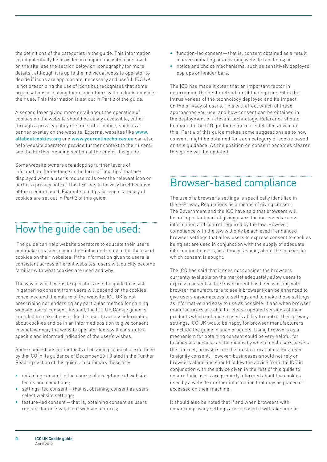the definitions of the categories in the guide. This information could potentially be provided in conjunction with icons used on the site (see the section below on iconography for more details), although it is up to the individual website operator to decide if icons are appropriate, necessary and useful. ICC UK is not prescribing the use of icons but recognises that some organisations are using them, and others will no doubt consider their use. This information is set out in Part 2 of the guide.

A second layer giving more detail about the operation of cookies on the website should be easily accessible, either through a privacy policy or some other notice, such as a banner overlay on the website. External websites like www. allaboutcookies.org and [www.youronlinechoices.eu](http://www.youronlinechoices.eu) can also help website operators provide further context to their users: see the Further Reading section at the end of this guide.

Some website owners are adopting further layers of information, for instance in the form of 'tool tips' that are displayed when a user's mouse rolls over the relevant icon or part of a privacy notice. This text has to be very brief because of the medium used. Example tool tips for each category of cookies are set out in Part 2 of this guide.

# How the guide can be used:

 The guide can help website operators to educate their users and make it easier to gain their informed consent for the use of cookies on their websites. If the information given to users is consistent across different websites, users will quickly become familiar with what cookies are used and why.

The way in which website operators use the guide to assist in gathering consent from users will depend on the cookies concerned and the nature of the website. ICC UK is not prescribing nor endorsing any particular method for gaining website users' consent. Instead, the ICC UK Cookie guide is intended to make it easier for the user to access information about cookies and be in an informed position to give consent in whatever way the website operator feels will constitute a specific and informed indication of the user's wishes.

Some suggestions for methods of obtaining consent are outlined by the ICO in its guidance of December 2011 (listed in the Further Reading section of this guide). In summary these are:

- **•**  obtaining consent in the course of acceptance of website terms and conditions;
- settings-led consent that is, obtaining consent as users select website settings;
- feature-led consent that is, obtaining consent as users register for or "switch on" website features;
- **•**  function-led consent—that is, consent obtained as a result of users initiating or activating website functions; or
- notice and choice mechanisms, such as sensitively deployed pop ups or header bars.

The ICO has made it clear that an important factor in determining the best method for obtaining consent is the intrusiveness of the technology deployed and its impact on the privacy of users. This will affect which of these approaches you use, and how consent can be obtained in the deployment of relevant technology. Reference should be made to the ICO guidance for more detailed advice on this. Part 4 of this quide makes some suggestions as to how consent might be obtained for each category of cookie based on this guidance. As the position on consent becomes clearer, this guide will be updated.

# Browser-based compliance

The use of a browser's settings is specifically identified in the e-Privacy Regulations as a means of giving consent. The Government and the ICO have said that browsers will be an important part of giving users the increased access, information and control required by the law. However, compliance with the law will only be achieved if enhanced browser settings that allow users to express consent to cookies being set are used in conjunction with the supply of adequate information to users, in a timely fashion, about the cookies for which consent is sought.

The ICO has said that it does not consider the browsers currently available on the market adequately allow users to express consent so the Government has been working with browser manufacturers to see if browsers can be enhanced to give users easier access to settings and to make those settings as informative and easy to use as possible. If and when browser manufacturers are able to release updated versions of their products which enhance a user's ability to control their privacy settings, ICC UK would be happy for browser manufacturers to include the guide in such products. Using browsers as a mechanism for obtaining consent could be very helpful for businesses because as the means by which most users access the internet, browsers are the most natural place for a user to signify consent. However, businesses should not rely on browsers alone and should follow the advice from the ICO in conjunction with the advice given in the rest of this guide to ensure their users are properly informed about the cookies used by a website or other information that may be placed or accessed on their machine.

It should also be noted that if and when browsers with enhanced privacy settings are released it will take time for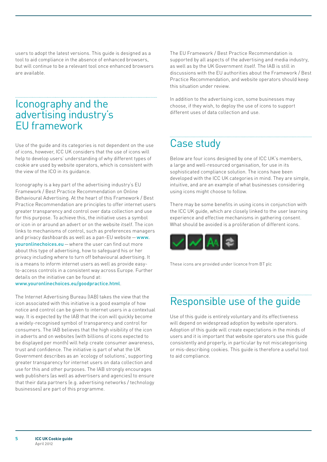users to adopt the latest versions. This guide is designed as a tool to aid compliance in the absence of enhanced browsers, but will continue to be a relevant tool once enhanced browsers are available.

# Iconography and the advertising industry's EU framework

Use of the guide and its categories is not dependent on the use of icons, however, ICC UK considers that the use of icons will help to develop users' understanding of why different types of cookie are used by website operators, which is consistent with the view of the ICO in its guidance.

Iconography is a key part of the advertising industry's EU Framework / Best Practice Recommendation on Online Behavioural Advertising. At the heart of this Framework / Best Practice Recommendation are principles to offer internet users greater transparency and control over data collection and use for this purpose. To achieve this, the initiative uses a symbol or icon in or around an advert or on the website itself. The icon links to mechanisms of control, such as preferences managers and privacy dashboards as well as a pan-EU website—www. youronlinechoices.eu—where the user can find out more about this type of advertising, how to safeguard his or her privacy including where to turn off behavioural advertising. It is a means to inform internet users as well as provide easyto-access controls in a consistent way across Europe. Further details on the initiative can be found at:

#### www.youronlinechoices.eu/goodpractice.html.

The Internet Advertising Bureau (IAB) takes the view that the icon associated with this initiative is a good example of how notice and control can be given to internet users in a contextual way. It is expected by the IAB that the icon will quickly become a widely-recognised symbol of transparency and control for consumers. The IAB believes that the high visibility of the icon in adverts and on websites (with billions of icons expected to be displayed per month) will help create consumer awareness, trust and confidence. The initiative is part of what the UK Government describes as an 'ecology of solutions', supporting greater transparency for internet users on data collection and use for this and other purposes. The IAB strongly encourages web publishers (as well as advertisers and agencies) to ensure that their data partners (e.g. advertising networks / technology businesses) are part of this programme.

The EU Framework / Best Practice Recommendation is supported by all aspects of the advertising and media industry, as well as by the UK Government itself. The IAB is still in discussions with the EU authorities about the Framework / Best Practice Recommendation, and website operators should keep this situation under review.

In addition to the advertising icon, some businesses may choose, if they wish, to deploy the use of icons to support different uses of data collection and use.

# Case study

Below are four icons designed by one of ICC UK's members, a large and well-resourced organisation, for use in its sophisticated compliance solution. The icons have been developed with the ICC UK categories in mind. They are simple, intuitive, and are an example of what businesses considering using icons might choose to follow.

There may be some benefits in using icons in conjunction with the ICC UK guide, which are closely linked to the user learning experience and effective mechanisms in gathering consent. What should be avoided is a proliferation of different icons.



These icons are provided under licence from BT plc

# Responsible use of the guide

Use of this guide is entirely voluntary and its effectiveness will depend on widespread adoption by website operators. Adoption of this guide will create expectations in the minds of users and it is important that website operators use this guide consistently and properly, in particular by not miscategorising or mis-describing cookies. This guide is therefore a useful tool to aid compliance.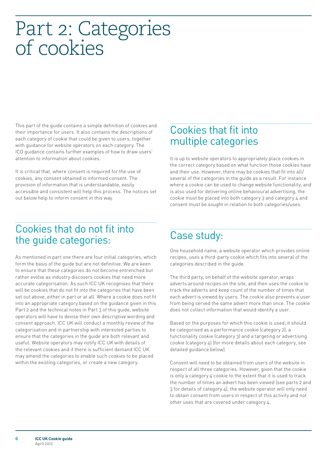# <span id="page-5-0"></span>Part 2: Categories of cookies

This part of the guide contains a simple definition of cookies and their importance for users. It also contains the descriptions of each category of cookie that could be given to users, together with guidance for website operators on each category. The ICO guidance contains further examples of how to draw users' attention to information about cookies.

It is critical that, where consent is required for the use of cookies, any consent obtained is informed consent. The provision of information that is understandable, easily accessible and consistent will help this process. The notices set out below help to inform consent in this way.

## Cookies that fit into multiple categories

It is up to website operators to appropriately place cookies in the correct category based on what function those cookies have and their use. However, there may be cookies that fit into all/ several of the categories in the guide as a result. For instance where a cookie can be used to change website functionality, and is also used for delivering online behavioural advertising, the cookie must be placed into both category 3 and category 4 and consent must be sought in relation to both categories/uses.

## Cookies that do not fit into the guide categories:

As mentioned in part one there are four initial categories, which form the basis of the guide but are not definitive. We are keen to ensure that these categories do not become entrenched but rather evolve as industry discovers cookies that need more accurate categorisation. As such ICC UK recognises that there will be cookies that do not fit into the categories that have been set out above, either in part or at all. Where a cookie does not fit into an appropriate category based on the guidance given in this Part 2 and the technical notes in Part 3 of this guide, website operators will have to devise their own descriptive wording and consent approach. ICC UK will conduct a monthly review of the categorisation and in partnership with interested parties to ensure that the categories in the guide are both relevant and useful. Website operators may notify ICC UK with details of the relevant cookies and if there is sufficient demand ICC UK may amend the categories to enable such cookies to be placed within the existing categories, or create a new category.

# Case study:

One household name, a website operator which provides online recipes, uses a third-party cookie which fits into several of the categories described in the guide.

The third party, on behalf of the website operator, wraps adverts around recipes on the site, and then uses the cookie to track the adverts and keep count of the number of times that each advert is viewed by users. The cookie also prevents a user from being served the same advert more than once. The cookie does not collect information that would identify a user.

Based on the purposes for which this cookie is used, it should be categorised as a performance cookie (category 2), a functionality cookie (category 3) and a targeting or advertising cookie (category 4) (for more details about each category, see detailed guidance below).

Consent will need to be obtained from users of the website in respect of all three categories. However, given that the cookie is only a category 4 cookie to the extent that it is used to track the number of times an advert has been viewed (see parts 2 and 3 for details of category 4), the website operator will only need to obtain consent from users in respect of this activity and not other uses that are covered under category 4.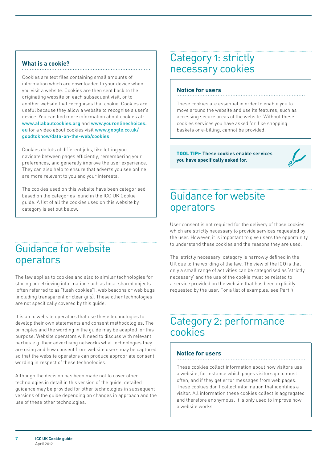#### **What is a cookie?**

Cookies are text files containing small amounts of information which are downloaded to your device when you visit a website. Cookies are then sent back to the originating website on each subsequent visit, or to another website that recognises that cookie. Cookies are useful because they allow a website to recognise a user's device. You can find more information about cookies at: www.allaboutcookies.org and www.youronlinechoices. eu for a video about cookies visit www.google.co.uk/ goodtoknow/data-on-the-web/cookies

Cookies do lots of different jobs, like letting you navigate between pages efficiently, remembering your preferences, and generally improve the user experience. They can also help to ensure that adverts you see online are more relevant to you and your interests.

The cookies used on this website have been categorised based on the categories found in the ICC UK Cookie guide. A list of all the cookies used on this website by category is set out below.

### Guidance for website operators

The law applies to cookies and also to similar technologies for storing or retrieving information such as local shared objects (often referred to as "flash cookies"), web beacons or web bugs (including transparent or clear gifs). These other technologies are not specifically covered by this guide.

It is up to website operators that use these technologies to develop their own statements and consent methodologies. The principles and the wording in the guide may be adapted for this purpose. Website operators will need to discuss with relevant parties e.g. their advertising networks what technologies they are using and how consent from website users may be captured so that the website operators can produce appropriate consent wording in respect of these technologies.

Although the decision has been made not to cover other technologies in detail in this version of the guide, detailed guidance may be provided for other technologies in subsequent versions of the guide depending on changes in approach and the use of these other technologies.

## Category 1: strictly necessary cookies

#### **Notice for users**

These cookies are essential in order to enable you to move around the website and use its features, such as accessing secure areas of the website. Without these cookies services you have asked for, like shopping baskets or e-billing, cannot be provided.

Tool tip3 **These cookies enable services you have specifically asked for.**



# Guidance for website operators

User consent is not required for the delivery of those cookies which are strictly necessary to provide services requested by the user. However, it is important to give users the opportunity to understand these cookies and the reasons they are used.

The 'strictly necessary' category is narrowly defined in the UK due to the wording of the law. The view of the ICO is that only a small range of activities can be categorised as 'strictly necessary' and the use of the cookie must be related to a service provided on the website that has been explicitly requested by the user. For a list of examples, see Part 3.

## Category 2: performance cookies

#### **Notice for users**

These cookies collect information about how visitors use a website, for instance which pages visitors go to most often, and if they get error messages from web pages. These cookies don't collect information that identifies a visitor. All information these cookies collect is aggregated and therefore anonymous. It is only used to improve how a website works.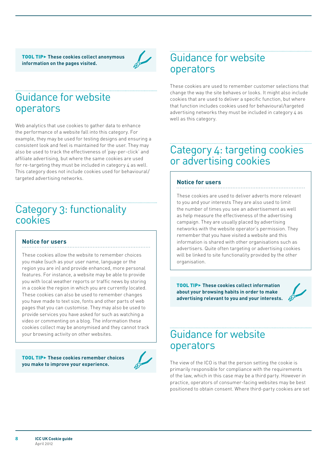Tool tip3 **These cookies collect anonymous information on the pages visited.**



# Guidance for website operators

Web analytics that use cookies to gather data to enhance the performance of a website fall into this category. For example, they may be used for testing designs and ensuring a consistent look and feel is maintained for the user. They may also be used to track the effectiveness of 'pay-per-click' and affiliate advertising, but where the same cookies are used for re-targeting they must be included in category 4 as well. This category does not include cookies used for behavioural/ targeted advertising networks.

# Category 3: functionality cookies

#### **Notice for users**

These cookies allow the website to remember choices you make (such as your user name, language or the region you are in) and provide enhanced, more personal features. For instance, a website may be able to provide you with local weather reports or traffic news by storing in a cookie the region in which you are currently located. These cookies can also be used to remember changes you have made to text size, fonts and other parts of web pages that you can customise. They may also be used to provide services you have asked for such as watching a video or commenting on a blog. The information these cookies collect may be anonymised and they cannot track your browsing activity on other websites.

Tool tip3 **These cookies remember choices you make to improve your experience.**



# Guidance for website operators

These cookies are used to remember customer selections that change the way the site behaves or looks. It might also include cookies that are used to deliver a specific function, but where that function includes cookies used for behavioural/targeted advertising networks they must be included in category 4 as well as this category.

## Category 4: targeting cookies or advertising cookies

#### **Notice for users**

These cookies are used to deliver adverts more relevant to you and your interests They are also used to limit the number of times you see an advertisement as well as help measure the effectiveness of the advertising campaign. They are usually placed by advertising networks with the website operator's permission. They remember that you have visited a website and this information is shared with other organisations such as advertisers. Quite often targeting or advertising cookies will be linked to site functionality provided by the other organisation.

Tool tip3 **These cookies collect information about your browsing habits in order to make advertising relevant to you and your interests.**

# Guidance for website operators

The view of the ICO is that the person setting the cookie is primarily responsible for compliance with the requirements of the law, which in this case may be a third party. However in practice, operators of consumer-facing websites may be best positioned to obtain consent. Where third-party cookies are set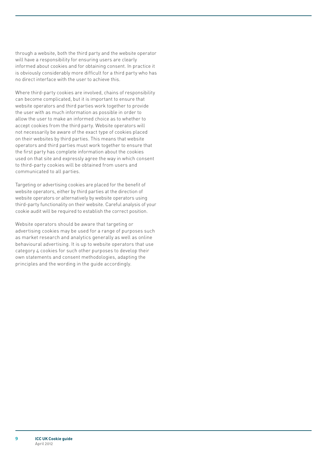through a website, both the third party and the website operator will have a responsibility for ensuring users are clearly informed about cookies and for obtaining consent. In practice it is obviously considerably more difficult for a third party who has no direct interface with the user to achieve this.

Where third-party cookies are involved, chains of responsibility can become complicated, but it is important to ensure that website operators and third parties work together to provide the user with as much information as possible in order to allow the user to make an informed choice as to whether to accept cookies from the third party. Website operators will not necessarily be aware of the exact type of cookies placed on their websites by third parties. This means that website operators and third parties must work together to ensure that the first party has complete information about the cookies used on that site and expressly agree the way in which consent to third-party cookies will be obtained from users and communicated to all parties.

Targeting or advertising cookies are placed for the benefit of website operators, either by third parties at the direction of website operators or alternatively by website operators using third-party functionality on their website. Careful analysis of your cookie audit will be required to establish the correct position.

Website operators should be aware that targeting or advertising cookies may be used for a range of purposes such as market research and analytics generally as well as online behavioural advertising. It is up to website operators that use category 4 cookies for such other purposes to develop their own statements and consent methodologies, adapting the principles and the wording in the guide accordingly.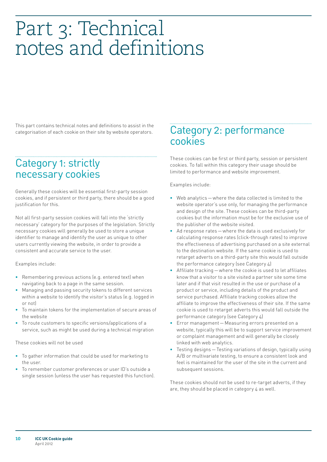# <span id="page-9-0"></span>Part 3: Technical notes and definitions

This part contains technical notes and definitions to assist in the categorisation of each cookie on their site by website operators.

## Category 1: strictly necessary cookies

Generally these cookies will be essential first-party session cookies, and if persistent or third party, there should be a good justification for this.

Not all first-party session cookies will fall into the 'strictly necessary' category for the purposes of the legislation. Strictly necessary cookies will generally be used to store a unique identifier to manage and identify the user as unique to other users currently viewing the website, in order to provide a consistent and accurate service to the user.

Examples include:

- **•**  Remembering previous actions (e.g. entered text) when navigating back to a page in the same session.
- **•**  Managing and passing security tokens to different services within a website to identify the visitor's status (e.g. logged in or not)
- To maintain tokens for the implementation of secure areas of the website
- To route customers to specific versions/applications of a service, such as might be used during a technical migration

These cookies will not be used

- To gather information that could be used for marketing to the user.
- To remember customer preferences or user ID's outside a single session (unless the user has requested this function).

# Category 2: performance cookies

These cookies can be first or third party, session or persistent cookies. To fall within this category their usage should be limited to performance and website improvement.

Examples include:

- **•**  Web analytics—where the data collected is limited to the website operator's use only, for managing the performance and design of the site. These cookies can be third-party cookies but the information must be for the exclusive use of the publisher of the website visited.
- Ad response rates where the data is used exclusively for calculating response rates (click-through rates) to improve the effectiveness of advertising purchased on a site external to the destination website. If the same cookie is used to retarget adverts on a third-party site this would fall outside the performance category (see Category 4)
- Affiliate tracking where the cookie is used to let affiliates know that a visitor to a site visited a partner site some time later and if that visit resulted in the use or purchase of a product or service, including details of the product and service purchased. Affiliate tracking cookies allow the affiliate to improve the effectiveness of their site. If the same cookie is used to retarget adverts this would fall outside the performance category (see Category 4)
- Error management Measuring errors presented on a website, typically this will be to support service improvement or complaint management and will generally be closely linked with web analytics.
- Testing designs Testing variations of design, typically using A/B or multivariate testing, to ensure a consistent look and feel is maintained for the user of the site in the current and subsequent sessions.

These cookies should not be used to re-target adverts, if they are, they should be placed in category 4 as well.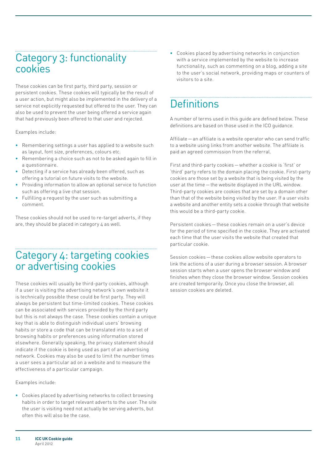# Category 3: functionality cookies

These cookies can be first party, third party, session or persistent cookies. These cookies will typically be the result of a user action, but might also be implemented in the delivery of a service not explicitly requested but offered to the user. They can also be used to prevent the user being offered a service again that had previously been offered to that user and rejected.

Examples include:

- **•**  Remembering settings a user has applied to a website such as layout, font size, preferences, colours etc.
- Remembering a choice such as not to be asked again to fill in a questionnaire.
- Detecting if a service has already been offered, such as offering a tutorial on future visits to the website.
- **Providing information to allow an optional service to function** such as offering a live chat session.
- Fulfilling a request by the user such as submitting a comment.

These cookies should not be used to re-target adverts, if they are, they should be placed in category 4 as well.

# Category 4: targeting cookies or advertising cookies

These cookies will usually be third-party cookies, although if a user is visiting the advertising network's own website it is technically possible these could be first party. They will always be persistent but time-limited cookies. These cookies can be associated with services provided by the third party but this is not always the case. These cookies contain a unique key that is able to distinguish individual users' browsing habits or store a code that can be translated into to a set of browsing habits or preferences using information stored elsewhere. Generally speaking, the privacy statement should indicate if the cookie is being used as part of an advertising network. Cookies may also be used to limit the number times a user sees a particular ad on a website and to measure the effectiveness of a particular campaign.

Examples include:

**•**  Cookies placed by advertising networks to collect browsing habits in order to target relevant adverts to the user. The site the user is visiting need not actually be serving adverts, but often this will also be the case.

**•**  Cookies placed by advertising networks in conjunction with a service implemented by the website to increase functionality, such as commenting on a blog, adding a site to the user's social network, providing maps or counters of visitors to a site.

# **Definitions**

A number of terms used in this guide are defined below. These definitions are based on those used in the ICO guidance.

Affiliate—an affiliate is a website operator who can send traffic to a website using links from another website. The affiliate is paid an agreed commission from the referral.

First and third-party cookies—whether a cookie is 'first' or 'third' party refers to the domain placing the cookie. First-party cookies are those set by a website that is being visited by the user at the time—the website displayed in the URL window. Third-party cookies are cookies that are set by a domain other than that of the website being visited by the user. If a user visits a website and another entity sets a cookie through that website this would be a third-party cookie.

Persistent cookies—these cookies remain on a user's device for the period of time specified in the cookie. They are activated each time that the user visits the website that created that particular cookie.

Session cookies—these cookies allow website operators to link the actions of a user during a browser session. A browser session starts when a user opens the browser window and finishes when they close the browser window. Session cookies are created temporarily. Once you close the browser, all session cookies are deleted.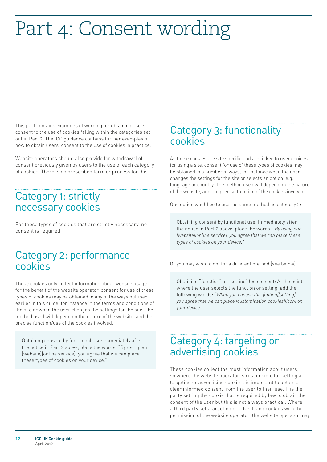# <span id="page-11-0"></span>Part 4: Consent wording

This part contains examples of wording for obtaining users' consent to the use of cookies falling within the categories set out in Part 2. The ICO guidance contains further examples of how to obtain users' consent to the use of cookies in practice.

Website operators should also provide for withdrawal of consent previously given by users to the use of each category of cookies. There is no prescribed form or process for this.

# Category 1: strictly necessary cookies

For those types of cookies that are strictly necessary, no consent is required.

## Category 2: performance cookies

These cookies only collect information about website usage for the benefit of the website operator, consent for use of these types of cookies may be obtained in any of the ways outlined earlier in this guide, for instance in the terms and conditions of the site or when the user changes the settings for the site. The method used will depend on the nature of the website, and the precise function/use of the cookies involved.

Obtaining consent by functional use: Immediately after the notice in Part 2 above, place the words: "By using our [website][online service], you agree that we can place these types of cookies on your device."

# Category 3: functionality cookies

As these cookies are site specific and are linked to user choices for using a site, consent for use of these types of cookies may be obtained in a number of ways, for instance when the user changes the settings for the site or selects an option, e.g. language or country. The method used will depend on the nature of the website, and the precise function of the cookies involved.

One option would be to use the same method as category 2:

Obtaining consent by functional use: Immediately after the notice in Part 2 above, place the words: *"By using our [website][online service], you agree that we can place these types of cookies on your device."*

Or you may wish to opt for a different method (see below).

Obtaining "function" or "setting" led consent: At the point where the user selects the function or setting, add the following words: *"When you choose this [option][setting], you agree that we can place [customisation cookies][icon] on your device."*

# Category 4: targeting or advertising cookies

These cookies collect the most information about users, so where the website operator is responsible for setting a targeting or advertising cookie it is important to obtain a clear informed consent from the user to their use. It is the party setting the cookie that is required by law to obtain the consent of the user but this is not always practical. Where a third party sets targeting or advertising cookies with the permission of the website operator, the website operator may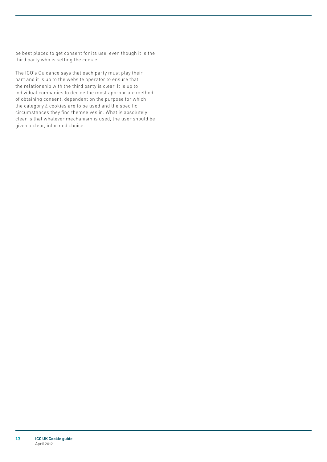be best placed to get consent for its use, even though it is the third party who is setting the cookie.

The ICO's Guidance says that each party must play their part and it is up to the website operator to ensure that the relationship with the third party is clear. It is up to individual companies to decide the most appropriate method of obtaining consent, dependent on the purpose for which the category 4 cookies are to be used and the specific circumstances they find themselves in. What is absolutely clear is that whatever mechanism is used, the user should be given a clear, informed choice.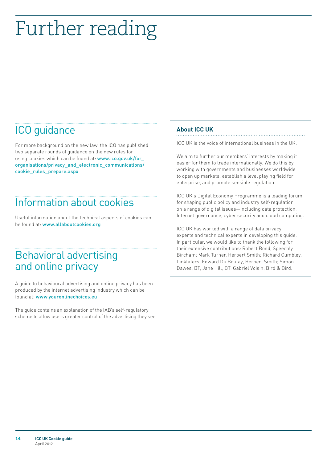# <span id="page-13-0"></span>Further reading

# ICO guidance

For more background on the new law, the ICO has published two separate rounds of guidance on the new rules for using cookies which can be found at: www.ico.gov.uk/for organisations/privacy\_and\_electronic\_communications/ cookie\_rules\_prepare.aspx

# Information about cookies

Useful information about the technical aspects of cookies can be found at: [www.allaboutcookies.org](http://www.allaboutcookies.org)

# Behavioral advertising and online privacy

A guide to behavioural advertising and online privacy has been produced by the internet advertising industry which can be found at: [www.youronlinechoices.eu](http://www.youronlinechoices.eu)

The guide contains an explanation of the IAB's self-regulatory scheme to allow users greater control of the advertising they see.

#### **About ICC UK**

ICC UK is the voice of international business in the UK.

We aim to further our members' interests by making it easier for them to trade internationally. We do this by working with governments and businesses worldwide to open up markets, establish a level playing field for enterprise, and promote sensible regulation.

ICC UK's Digital Economy Programme is a leading forum for shaping public policy and industry self-regulation on a range of digital issues—including data protection, Internet governance, cyber security and cloud computing.

ICC UK has worked with a range of data privacy experts and technical experts in developing this guide. In particular, we would like to thank the following for their extensive contributions: Robert Bond, Speechly Bircham; Mark Turner, Herbert Smith; Richard Cumbley, Linklaters; Edward Du Boulay, Herbert Smith; Simon Dawes, BT; Jane Hill, BT; Gabriel Voisin, Bird & Bird.